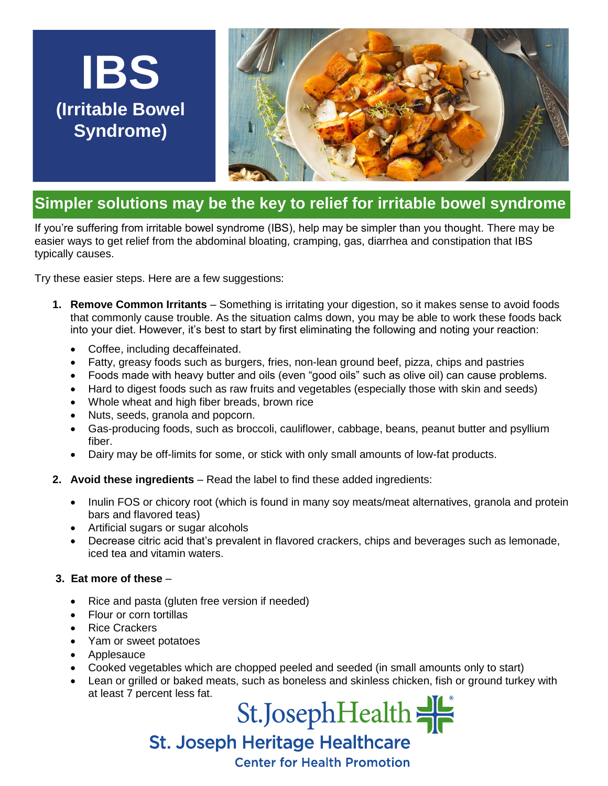## **IBS (Irritable Bowel Syndrome)**



## **Simpler solutions may be the key to relief for irritable bowel syndrome**

If you're suffering from irritable bowel syndrome (IBS), help may be simpler than you thought. There may be easier ways to get relief from the abdominal bloating, cramping, gas, diarrhea and constipation that IBS typically causes.

Try these easier steps. Here are a few suggestions:

- **1. Remove Common Irritants** Something is irritating your digestion, so it makes sense to avoid foods that commonly cause trouble. As the situation calms down, you may be able to work these foods back into your diet. However, it's best to start by first eliminating the following and noting your reaction:
	- Coffee, including decaffeinated.
	- Fatty, greasy foods such as burgers, fries, non-lean ground beef, pizza, chips and pastries
	- Foods made with heavy butter and oils (even "good oils" such as olive oil) can cause problems.
	- Hard to digest foods such as raw fruits and vegetables (especially those with skin and seeds)
	- Whole wheat and high fiber breads, brown rice
	- Nuts, seeds, granola and popcorn.
	- Gas-producing foods, such as broccoli, cauliflower, cabbage, beans, peanut butter and psyllium fiber.
	- Dairy may be off-limits for some, or stick with only small amounts of low-fat products.
- **2. Avoid these ingredients** Read the label to find these added ingredients:
	- Inulin FOS or chicory root (which is found in many soy meats/meat alternatives, granola and protein bars and flavored teas)
	- Artificial sugars or sugar alcohols
	- Decrease citric acid that's prevalent in flavored crackers, chips and beverages such as lemonade, iced tea and vitamin waters.

## **3. Eat more of these** –

- Rice and pasta (gluten free version if needed)
- Flour or corn tortillas
- Rice Crackers
- Yam or sweet potatoes
- Applesauce
- Cooked vegetables which are chopped peeled and seeded (in small amounts only to start)
- Lean or grilled or baked meats, such as boneless and skinless chicken, fish or ground turkey with at least 7 percent less fat.

St.JosephHealth St. Joseph Heritage Healthcare

**Center for Health Promotion**